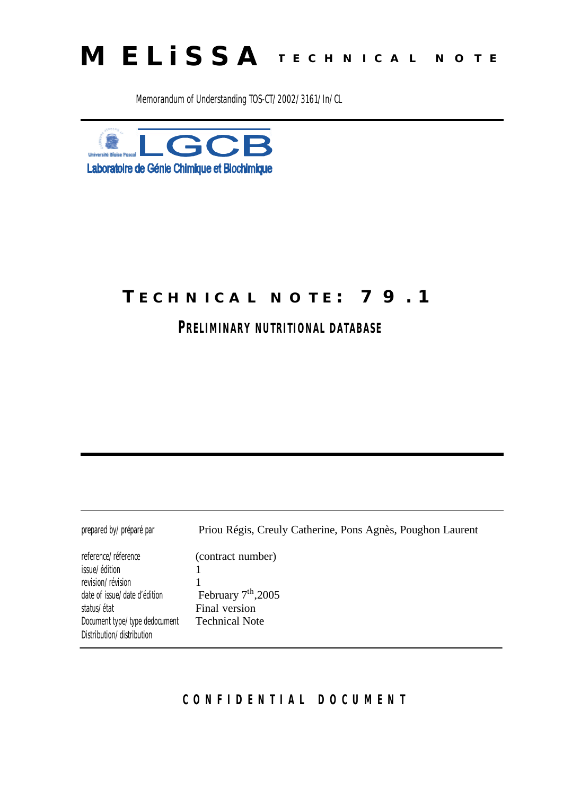

Memorandum of Understanding TOS-CT/2002/3161/In/CL



# **TECHNICAL NOTE: 79.1**

**PRELIMINARY NUTRITIONAL DATABASE** 

| prepared by/préparé par                                                                                                                                                                        | Priou Régis, Creuly Catherine, Pons Agnès, Poughon Laurent                           |
|------------------------------------------------------------------------------------------------------------------------------------------------------------------------------------------------|--------------------------------------------------------------------------------------|
| reference/ <i>réference</i><br>issue/édition<br>revision/ <i>révision</i><br>date of issue/date d'édition<br>status/ <i>état</i><br>Document type/type dedocument<br>Distribution/distribution | (contract number)<br>February $7th$ , 2005<br>Final version<br><b>Technical Note</b> |
|                                                                                                                                                                                                |                                                                                      |

### **CONFIDENTIAL DOCUMEN T**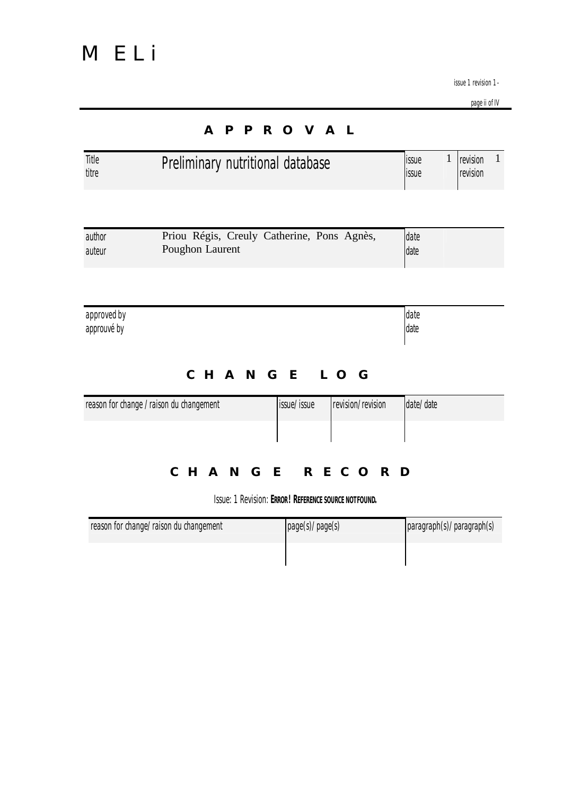page ii of IV

|                            |                                                               | <b>A P P R O V A L</b>                                |                   |                |              |                      |              |
|----------------------------|---------------------------------------------------------------|-------------------------------------------------------|-------------------|----------------|--------------|----------------------|--------------|
| Title<br>titre             | Preliminary nutritional database                              |                                                       |                   | issue<br>issue | $\mathbf{1}$ | revision<br>revision | $\mathbf{1}$ |
|                            |                                                               |                                                       |                   |                |              |                      |              |
| author<br>auteur           | Priou Régis, Creuly Catherine, Pons Agnès,<br>Poughon Laurent |                                                       |                   | date<br>date   |              |                      |              |
|                            |                                                               |                                                       |                   |                |              |                      |              |
| approved by<br>approuvé by |                                                               |                                                       |                   | date<br>date   |              |                      |              |
|                            |                                                               | CHANGE LOG                                            |                   |                |              |                      |              |
|                            | reason for change / raison du changement                      | issue/issue                                           | revision/revision | date/date      |              |                      |              |
|                            |                                                               |                                                       |                   |                |              |                      |              |
|                            | CHANGE RECORD                                                 |                                                       |                   |                |              |                      |              |
|                            |                                                               | Issue: 1 Revision: ERROR! REFERENCE SOURCE NOT FOUND. |                   |                |              |                      |              |

| reason for change/raison du changement | page(s)/page(s) | paragraph(s)/paragraph(s) |
|----------------------------------------|-----------------|---------------------------|
|                                        |                 |                           |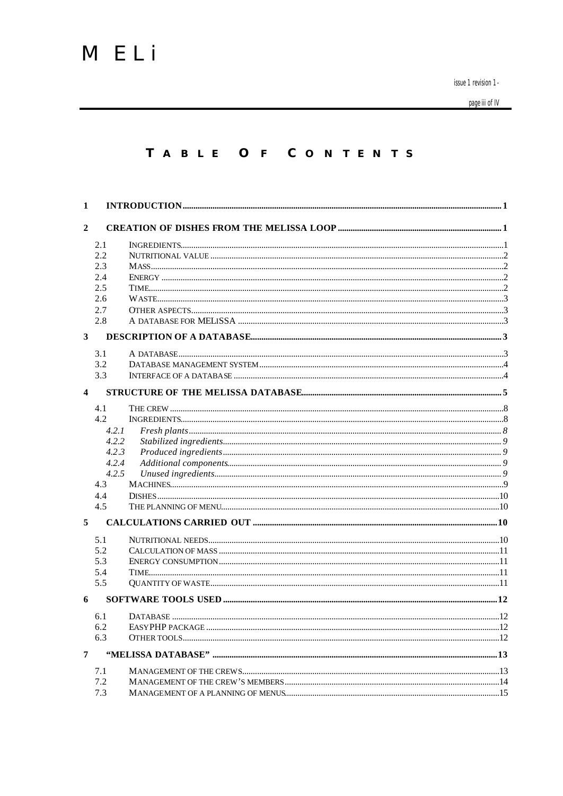page iii of IV

#### TABLE OF CONTENTS

| 1                       |            |  |
|-------------------------|------------|--|
| $\overline{2}$          |            |  |
|                         |            |  |
|                         | 2.1        |  |
|                         | 2.2        |  |
|                         | 2.3        |  |
|                         | 2.4<br>2.5 |  |
|                         | 2.6        |  |
|                         | 2.7        |  |
|                         | 2.8        |  |
| $\overline{\mathbf{3}}$ |            |  |
|                         | 3.1        |  |
|                         | 3.2        |  |
|                         | 3.3        |  |
| $\overline{\mathbf{4}}$ |            |  |
|                         | 4.1        |  |
|                         | 4.2        |  |
|                         | 4.2.1      |  |
|                         | 4.2.2      |  |
|                         | 4.2.3      |  |
|                         | 4.2.4      |  |
|                         | 4.2.5      |  |
|                         | 4.3        |  |
|                         | 4.4        |  |
|                         | 4.5        |  |
| 5                       |            |  |
|                         | 5.1        |  |
|                         | 5.2        |  |
|                         | 5.3        |  |
|                         | 5.4        |  |
|                         | 5.5        |  |
| 6                       |            |  |
|                         | 6.1        |  |
|                         | 6.2        |  |
|                         | 6.3        |  |
| $\overline{7}$          |            |  |
|                         | 7.1        |  |
|                         | 7.2        |  |
|                         | 7.3        |  |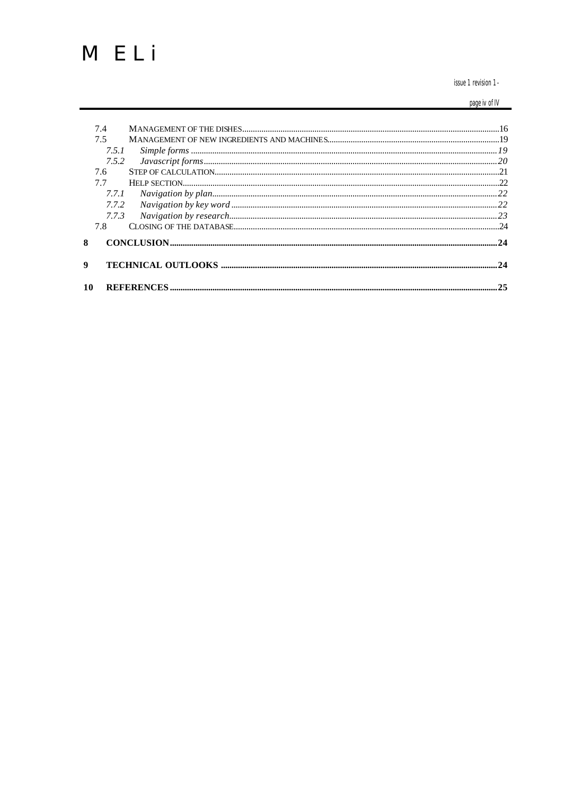issue 1 revision 1-

page iv of IV

| 10 |       |  |
|----|-------|--|
| 9  |       |  |
| 8  |       |  |
|    | 7.8   |  |
|    | 7.7.3 |  |
|    | 7.7.2 |  |
|    | 7.7.1 |  |
|    | 7.7   |  |
|    | 7.6   |  |
|    | 7.5.2 |  |
|    | 7.5.1 |  |
|    | 7.5   |  |
|    | 7.4   |  |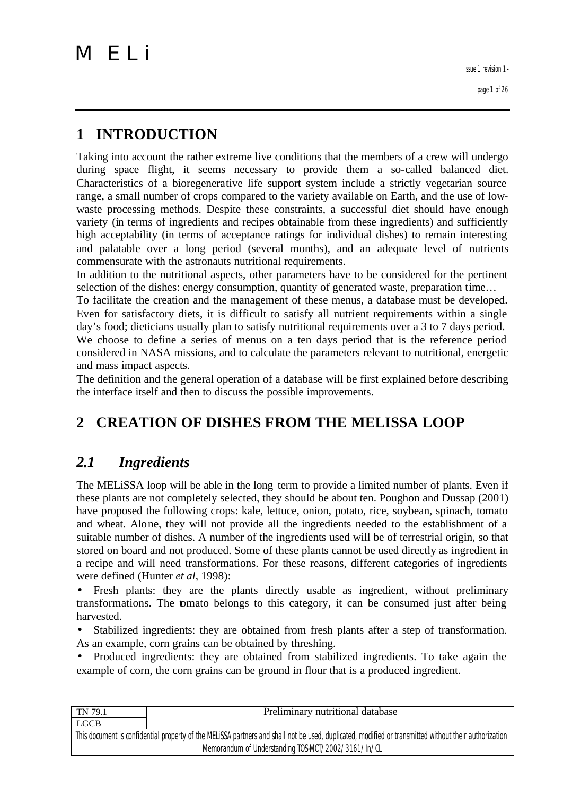page 1 of 26

# **1 INTRODUCTION**

Taking into account the rather extreme live conditions that the members of a crew will undergo during space flight, it seems necessary to provide them a so-called balanced diet. Characteristics of a bioregenerative life support system include a strictly vegetarian source range, a small number of crops compared to the variety available on Earth, and the use of lowwaste processing methods. Despite these constraints, a successful diet should have enough variety (in terms of ingredients and recipes obtainable from these ingredients) and sufficiently high acceptability (in terms of acceptance ratings for individual dishes) to remain interesting and palatable over a long period (several months), and an adequate level of nutrients commensurate with the astronauts nutritional requirements.

In addition to the nutritional aspects, other parameters have to be considered for the pertinent selection of the dishes: energy consumption, quantity of generated waste, preparation time...

To facilitate the creation and the management of these menus, a database must be developed. Even for satisfactory diets, it is difficult to satisfy all nutrient requirements within a single day's food; dieticians usually plan to satisfy nutritional requirements over a 3 to 7 days period.

We choose to define a series of menus on a ten days period that is the reference period considered in NASA missions, and to calculate the parameters relevant to nutritional, energetic and mass impact aspects.

The definition and the general operation of a database will be first explained before describing the interface itself and then to discuss the possible improvements.

# **2 CREATION OF DISHES FROM THE MELISSA LOOP**

### *2.1 Ingredients*

The MELiSSA loop will be able in the long term to provide a limited number of plants. Even if these plants are not completely selected, they should be about ten. Poughon and Dussap (2001) have proposed the following crops: kale, lettuce, onion, potato, rice, soybean, spinach, tomato and wheat. Alone, they will not provide all the ingredients needed to the establishment of a suitable number of dishes. A number of the ingredients used will be of terrestrial origin, so that stored on board and not produced. Some of these plants cannot be used directly as ingredient in a recipe and will need transformations. For these reasons, different categories of ingredients were defined (Hunter *et al*, 1998):

• Fresh plants: they are the plants directly usable as ingredient, without preliminary transformations. The tomato belongs to this category, it can be consumed just after being harvested.

Stabilized ingredients: they are obtained from fresh plants after a step of transformation. As an example, corn grains can be obtained by threshing.

• Produced ingredients: they are obtained from stabilized ingredients. To take again the example of corn, the corn grains can be ground in flour that is a produced ingredient.

| TN 79.1                                                                                                                                               | Preliminary nutritional database |  |
|-------------------------------------------------------------------------------------------------------------------------------------------------------|----------------------------------|--|
| LGCB                                                                                                                                                  |                                  |  |
| This document is confidential property of the MELISSA partners and shall not be used, duplicated, modified or transmitted without their authorization |                                  |  |
| Memorandum of Understanding TOS-MCT/2002/3161/In/CL                                                                                                   |                                  |  |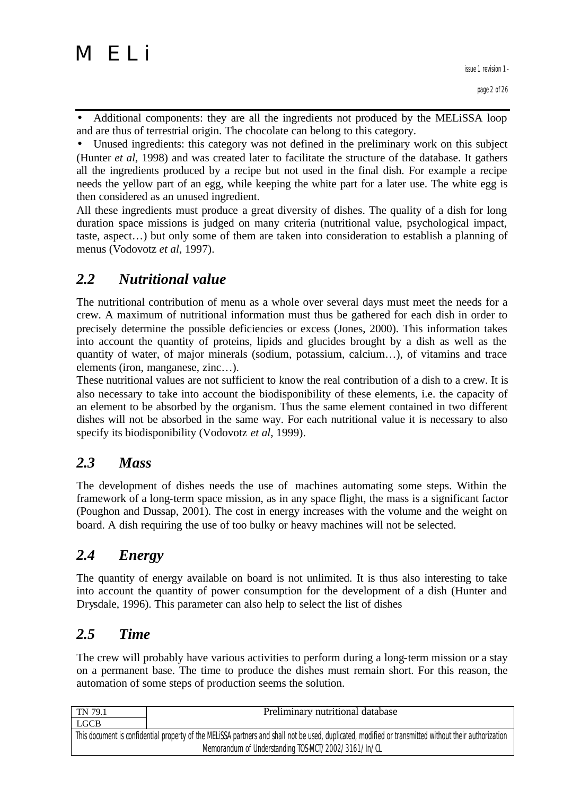

• Additional components: they are all the ingredients not produced by the MELiSSA loop and are thus of terrestrial origin. The chocolate can belong to this category.

• Unused ingredients: this category was not defined in the preliminary work on this subject (Hunter *et al*, 1998) and was created later to facilitate the structure of the database. It gathers all the ingredients produced by a recipe but not used in the final dish. For example a recipe needs the yellow part of an egg, while keeping the white part for a later use. The white egg is then considered as an unused ingredient.

All these ingredients must produce a great diversity of dishes. The quality of a dish for long duration space missions is judged on many criteria (nutritional value, psychological impact, taste, aspect…) but only some of them are taken into consideration to establish a planning of menus (Vodovotz *et al*, 1997).

### *2.2 Nutritional value*

The nutritional contribution of menu as a whole over several days must meet the needs for a crew. A maximum of nutritional information must thus be gathered for each dish in order to precisely determine the possible deficiencies or excess (Jones, 2000). This information takes into account the quantity of proteins, lipids and glucides brought by a dish as well as the quantity of water, of major minerals (sodium, potassium, calcium…), of vitamins and trace elements (iron, manganese, zinc…).

These nutritional values are not sufficient to know the real contribution of a dish to a crew. It is also necessary to take into account the biodisponibility of these elements, i.e. the capacity of an element to be absorbed by the organism. Thus the same element contained in two different dishes will not be absorbed in the same way. For each nutritional value it is necessary to also specify its biodisponibility (Vodovotz *et al*, 1999).

### *2.3 Mass*

The development of dishes needs the use of machines automating some steps. Within the framework of a long-term space mission, as in any space flight, the mass is a significant factor (Poughon and Dussap, 2001). The cost in energy increases with the volume and the weight on board. A dish requiring the use of too bulky or heavy machines will not be selected.

### *2.4 Energy*

The quantity of energy available on board is not unlimited. It is thus also interesting to take into account the quantity of power consumption for the development of a dish (Hunter and Drysdale, 1996). This parameter can also help to select the list of dishes

### *2.5 Time*

The crew will probably have various activities to perform during a long-term mission or a stay on a permanent base. The time to produce the dishes must remain short. For this reason, the automation of some steps of production seems the solution.

| TN 79.1                                                                                                                                               | Preliminary nutritional database |  |
|-------------------------------------------------------------------------------------------------------------------------------------------------------|----------------------------------|--|
| LGCB                                                                                                                                                  |                                  |  |
| This document is confidential property of the MELISSA partners and shall not be used, duplicated, modified or transmitted without their authorization |                                  |  |
| Memorandum of Understanding TOS-MCT/2002/3161/In/CL                                                                                                   |                                  |  |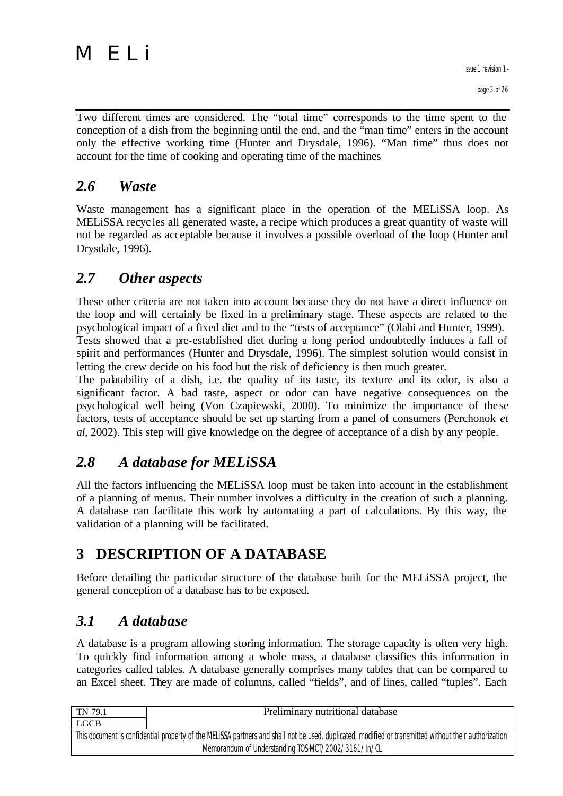Two different times are considered. The "total time" corresponds to the time spent to the conception of a dish from the beginning until the end, and the "man time" enters in the account only the effective working time (Hunter and Drysdale, 1996). "Man time" thus does not account for the time of cooking and operating time of the machines

### *2.6 Waste*

Waste management has a significant place in the operation of the MELiSSA loop. As MELiSSA recyc les all generated waste, a recipe which produces a great quantity of waste will not be regarded as acceptable because it involves a possible overload of the loop (Hunter and Drysdale, 1996).

#### *2.7 Other aspects*

These other criteria are not taken into account because they do not have a direct influence on the loop and will certainly be fixed in a preliminary stage. These aspects are related to the psychological impact of a fixed diet and to the "tests of acceptance" (Olabi and Hunter, 1999). Tests showed that a pre-established diet during a long period undoubtedly induces a fall of spirit and performances (Hunter and Drysdale, 1996). The simplest solution would consist in letting the crew decide on his food but the risk of deficiency is then much greater.

The palatability of a dish, i.e. the quality of its taste, its texture and its odor, is also a significant factor. A bad taste, aspect or odor can have negative consequences on the psychological well being (Von Czapiewski, 2000). To minimize the importance of the se factors, tests of acceptance should be set up starting from a panel of consumers (Perchonok *et al*, 2002). This step will give knowledge on the degree of acceptance of a dish by any people.

### *2.8 A database for MELiSSA*

All the factors influencing the MELiSSA loop must be taken into account in the establishment of a planning of menus. Their number involves a difficulty in the creation of such a planning. A database can facilitate this work by automating a part of calculations. By this way, the validation of a planning will be facilitated.

# **3 DESCRIPTION OF A DATABASE**

Before detailing the particular structure of the database built for the MELiSSA project, the general conception of a database has to be exposed.

# *3.1 A database*

A database is a program allowing storing information. The storage capacity is often very high. To quickly find information among a whole mass, a database classifies this information in categories called tables. A database generally comprises many tables that can be compared to an Excel sheet. They are made of columns, called "fields", and of lines, called "tuples". Each

| TN 79.1                                                                                                                                               | Preliminary nutritional database |  |
|-------------------------------------------------------------------------------------------------------------------------------------------------------|----------------------------------|--|
| <b>LGCB</b>                                                                                                                                           |                                  |  |
| This document is confidential property of the MELISSA partners and shall not be used, duplicated, modified or transmitted without their authorization |                                  |  |
| Memorandum of Understanding TOS-MCT/2002/3161/In/CL                                                                                                   |                                  |  |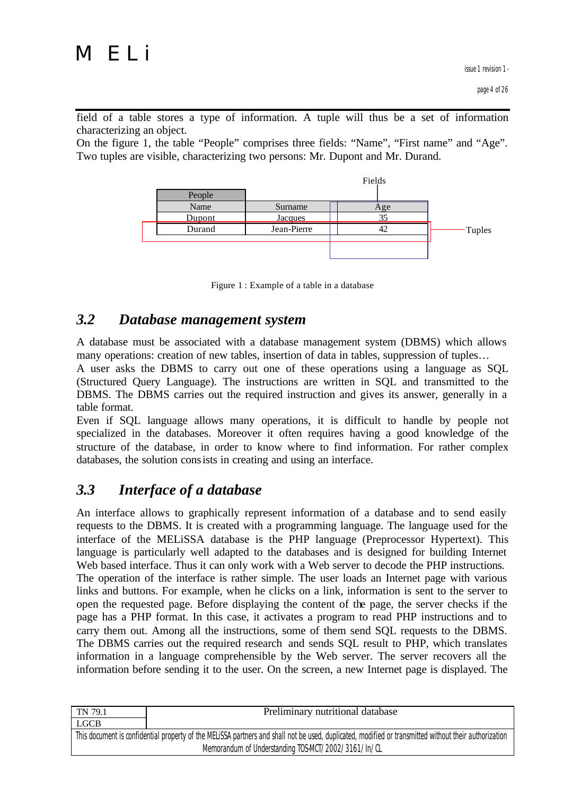field of a table stores a type of information. A tuple will thus be a set of information characterizing an object.

On the figure 1, the table "People" comprises three fields: "Name", "First name" and "Age". Two tuples are visible, characterizing two persons: Mr. Dupont and Mr. Durand.





#### *3.2 Database management system*

A database must be associated with a database management system (DBMS) which allows many operations: creation of new tables, insertion of data in tables, suppression of tuples…

A user asks the DBMS to carry out one of these operations using a language as SQL (Structured Query Language). The instructions are written in SQL and transmitted to the DBMS. The DBMS carries out the required instruction and gives its answer, generally in a table format.

Even if SQL language allows many operations, it is difficult to handle by people not specialized in the databases. Moreover it often requires having a good knowledge of the structure of the database, in order to know where to find information. For rather complex databases, the solution consists in creating and using an interface.

### *3.3 Interface of a database*

An interface allows to graphically represent information of a database and to send easily requests to the DBMS. It is created with a programming language. The language used for the interface of the MELiSSA database is the PHP language (Preprocessor Hypertext). This language is particularly well adapted to the databases and is designed for building Internet Web based interface. Thus it can only work with a Web server to decode the PHP instructions. The operation of the interface is rather simple. The user loads an Internet page with various links and buttons. For example, when he clicks on a link, information is sent to the server to open the requested page. Before displaying the content of the page, the server checks if the page has a PHP format. In this case, it activates a program to read PHP instructions and to carry them out. Among all the instructions, some of them send SQL requests to the DBMS. The DBMS carries out the required research and sends SQL result to PHP, which translates information in a language comprehensible by the Web server. The server recovers all the information before sending it to the user. On the screen, a new Internet page is displayed. The

| TN 79.1                                                                                                                                               | Preliminary nutritional database |  |
|-------------------------------------------------------------------------------------------------------------------------------------------------------|----------------------------------|--|
| <b>LGCB</b>                                                                                                                                           |                                  |  |
| This document is confidential property of the MELISSA partners and shall not be used, duplicated, modified or transmitted without their authorization |                                  |  |
| Memorandum of Understanding TOS-MCT/2002/3161/In/CL                                                                                                   |                                  |  |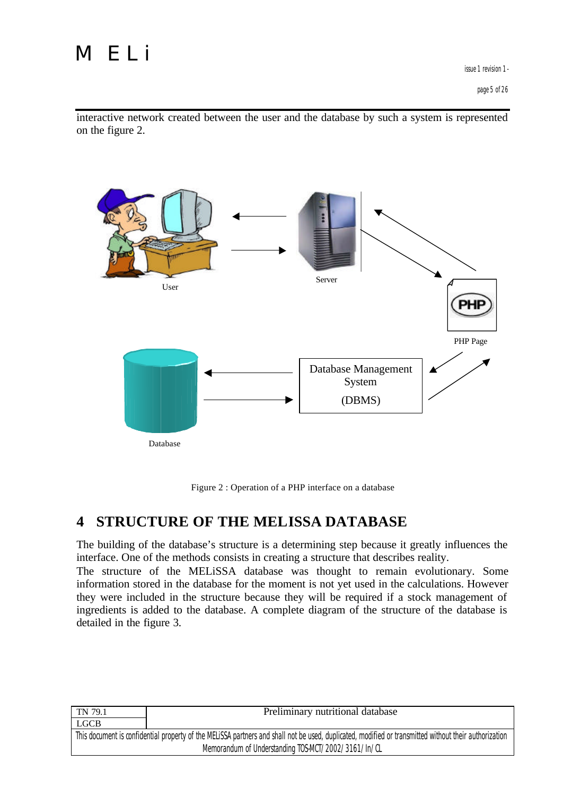interactive network created between the user and the database by such a system is represented on the figure 2.



Figure 2 : Operation of a PHP interface on a database

### **4 STRUCTURE OF THE MELISSA DATABASE**

The building of the database's structure is a determining step because it greatly influences the interface. One of the methods consists in creating a structure that describes reality.

The structure of the MELiSSA database was thought to remain evolutionary. Some information stored in the database for the moment is not yet used in the calculations. However they were included in the structure because they will be required if a stock management of ingredients is added to the database. A complete diagram of the structure of the database is detailed in the figure 3.

| TN 79.1                                                                                                                                               | Preliminary nutritional database |  |
|-------------------------------------------------------------------------------------------------------------------------------------------------------|----------------------------------|--|
| <b>LGCB</b>                                                                                                                                           |                                  |  |
| This document is confidential property of the MELISSA partners and shall not be used, duplicated, modified or transmitted without their authorization |                                  |  |
| Memorandum of Understanding TOS-MCT/2002/3161/In/CL                                                                                                   |                                  |  |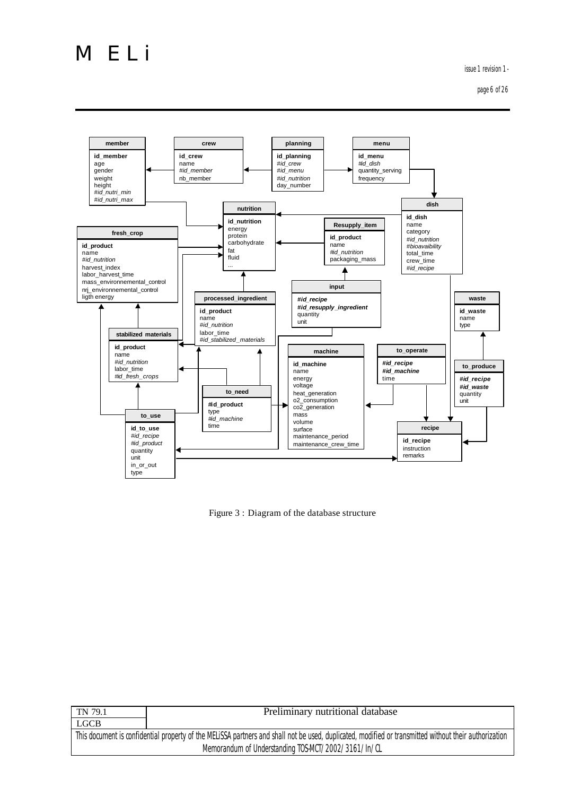issue 1 revision 1 -

page 6 of 26



Figure 3 : Diagram of the database structure

| TN 79.1                                                                                                                                               | Preliminary nutritional database |  |
|-------------------------------------------------------------------------------------------------------------------------------------------------------|----------------------------------|--|
| <b>LGCB</b>                                                                                                                                           |                                  |  |
| This document is confidential property of the MELISSA partners and shall not be used, duplicated, modified or transmitted without their authorization |                                  |  |
| Memorandum of Understanding TOS-MCT/2002/3161/In/CL                                                                                                   |                                  |  |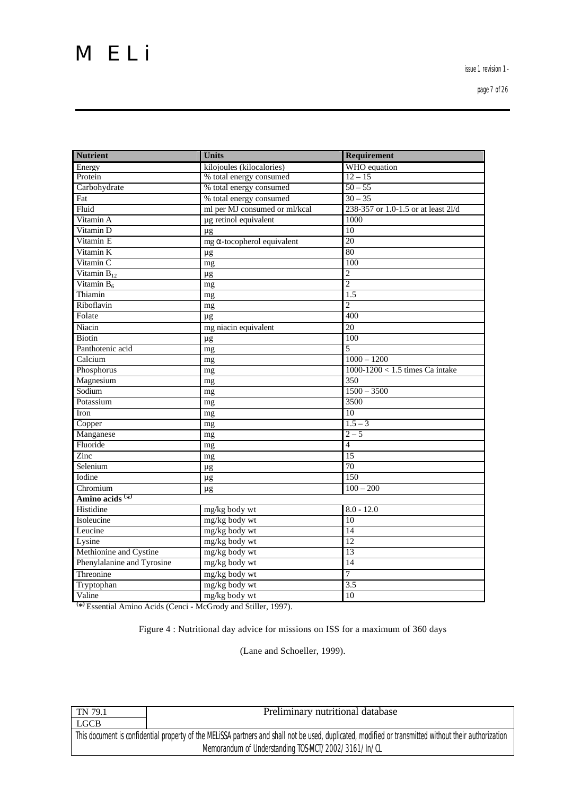issue 1 revision 1 -

page 7 of 26

| <b>Nutrient</b>             | <b>Units</b>                       | Requirement                         |
|-----------------------------|------------------------------------|-------------------------------------|
| Energy                      | kilojoules (kilocalories)          | WHO equation                        |
| Protein                     | % total energy consumed            | $12 - 15$                           |
| Carbohydrate                | % total energy consumed            | $50 - 55$                           |
| Fat                         | % total energy consumed            | $30 - 35$                           |
| Fluid                       | ml per MJ consumed or ml/kcal      | 238-357 or 1.0-1.5 or at least 2l/d |
| Vitamin A                   | µg retinol equivalent              | 1000                                |
| Vitamin D                   | $\mu$ g                            | $\overline{10}$                     |
| Vitamin E                   | $mg \alpha$ -tocopherol equivalent | 20                                  |
| Vitamin K                   | $\mu$ g                            | 80                                  |
| Vitamin C                   | mg                                 | 100                                 |
| Vitamin $\overline{B_{12}}$ | $\mu$ g                            | $\overline{c}$                      |
| Vitamin $B_6$               | mg                                 | $\overline{2}$                      |
| Thiamin                     | mg                                 | 1.5                                 |
| Riboflavin                  | mg                                 | $\overline{2}$                      |
| Folate                      | $\mu$ g                            | 400                                 |
| Niacin                      | mg niacin equivalent               | 20                                  |
| <b>Biotin</b>               | $\mu$ g                            | 100                                 |
| Panthotenic acid            | mg                                 | $\overline{5}$                      |
| Calcium                     | mg                                 | $1000 - 1200$                       |
| Phosphorus                  | mg                                 | $1000-1200 < 1.5$ times Ca intake   |
| Magnesium                   | mg                                 | 350                                 |
| Sodium                      | mg                                 | $1500 - 3500$                       |
| Potassium                   | mg                                 | 3500                                |
| Iron                        | mg                                 | 10                                  |
| Copper                      | mg                                 | $1.5 - 3$                           |
| Manganese                   | mg                                 | $2 - 5$                             |
| Fluoride                    | mg                                 | $\overline{4}$                      |
| Zinc                        | mg                                 | $\overline{15}$                     |
| Selenium                    | $\mu$ g                            | 70                                  |
| Iodine                      | $\mu$ g                            | 150                                 |
| Chromium                    | $\mu g$                            | $100 - 200$                         |
| Amino acids <sup>(*)</sup>  |                                    |                                     |
| Histidine                   | mg/kg body wt                      | $8.0 - 12.0$                        |
| Isoleucine                  | mg/kg body wt                      | 10                                  |
| Leucine                     | mg/kg body wt                      | 14                                  |
| Lysine                      | mg/kg body wt                      | $\overline{12}$                     |
| Methionine and Cystine      | mg/kg body wt                      | $\overline{13}$                     |
| Phenylalanine and Tyrosine  | mg/kg body wt                      | $\overline{14}$                     |
| Threonine                   | mg/kg body wt                      | 7                                   |
| Tryptophan                  | mg/kg body wt                      | 3.5                                 |
| Valine                      | mg/kg body wt                      | 10                                  |

**( \* )** Essential Amino Acids (Cenci - McGrody and Stiller, 1997).

Figure 4 : Nutritional day advice for missions on ISS for a maximum of 360 days

(Lane and Schoeller, 1999).

| TN 79.1                                                                                                                                               | Preliminary nutritional database |  |
|-------------------------------------------------------------------------------------------------------------------------------------------------------|----------------------------------|--|
| <b>LGCB</b>                                                                                                                                           |                                  |  |
| This document is confidential property of the MELISSA partners and shall not be used, duplicated, modified or transmitted without their authorization |                                  |  |
| Memorandum of Understanding TOS-MCT/2002/3161/In/CL                                                                                                   |                                  |  |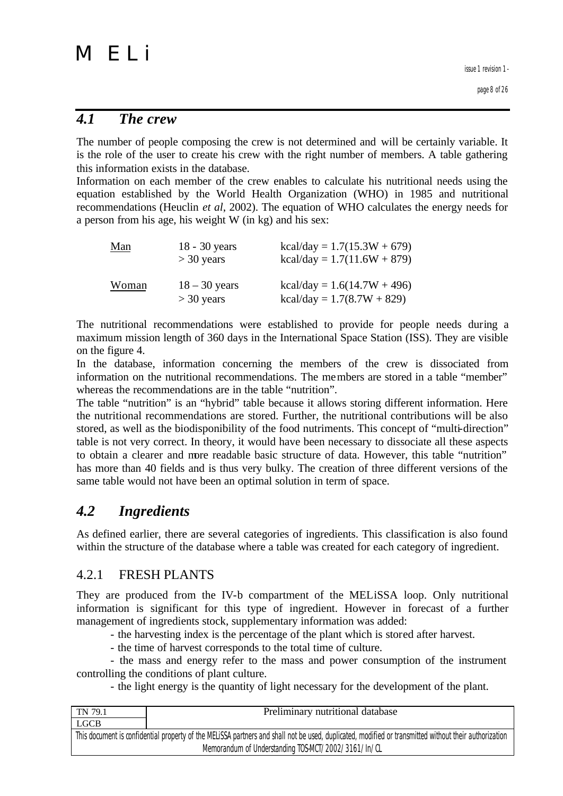#### *4.1 The crew*

The number of people composing the crew is not determined and will be certainly variable. It is the role of the user to create his crew with the right number of members. A table gathering this information exists in the database.

Information on each member of the crew enables to calculate his nutritional needs using the equation established by the World Health Organization (WHO) in 1985 and nutritional recommendations (Heuclin *et al*, 2002). The equation of WHO calculates the energy needs for a person from his age, his weight W (in kg) and his sex:

| <u>Man</u> | 18 - 30 years<br>$>$ 30 years   | $kcal/day = 1.7(15.3W + 679)$<br>$kcal/day = 1.7(11.6W + 879)$ |
|------------|---------------------------------|----------------------------------------------------------------|
| Woman      | $18 - 30$ years<br>$>$ 30 years | $kcal/day = 1.6(14.7W + 496)$<br>$kcal/day = 1.7(8.7W + 829)$  |

The nutritional recommendations were established to provide for people needs during a maximum mission length of 360 days in the International Space Station (ISS). They are visible on the figure 4.

In the database, information concerning the members of the crew is dissociated from information on the nutritional recommendations. The members are stored in a table "member" whereas the recommendations are in the table "nutrition".

The table "nutrition" is an "hybrid" table because it allows storing different information. Here the nutritional recommendations are stored. Further, the nutritional contributions will be also stored, as well as the biodisponibility of the food nutriments. This concept of "multi-direction" table is not very correct. In theory, it would have been necessary to dissociate all these aspects to obtain a clearer and more readable basic structure of data. However, this table "nutrition" has more than 40 fields and is thus very bulky. The creation of three different versions of the same table would not have been an optimal solution in term of space.

### *4.2 Ingredients*

As defined earlier, there are several categories of ingredients. This classification is also found within the structure of the database where a table was created for each category of ingredient.

#### 4.2.1 FRESH PLANTS

They are produced from the IV-b compartment of the MELiSSA loop. Only nutritional information is significant for this type of ingredient. However in forecast of a further management of ingredients stock, supplementary information was added:

- the harvesting index is the percentage of the plant which is stored after harvest.

- the time of harvest corresponds to the total time of culture.

- the mass and energy refer to the mass and power consumption of the instrument controlling the conditions of plant culture.

- the light energy is the quantity of light necessary for the development of the plant.

| TN 79.1                                                                                                                                               | Preliminary nutritional database |  |
|-------------------------------------------------------------------------------------------------------------------------------------------------------|----------------------------------|--|
| <b>LGCB</b>                                                                                                                                           |                                  |  |
| This document is confidential property of the MELISSA partners and shall not be used, duplicated, modified or transmitted without their authorization |                                  |  |
| Memorandum of Understanding TOS-MCT/2002/3161/In/CL                                                                                                   |                                  |  |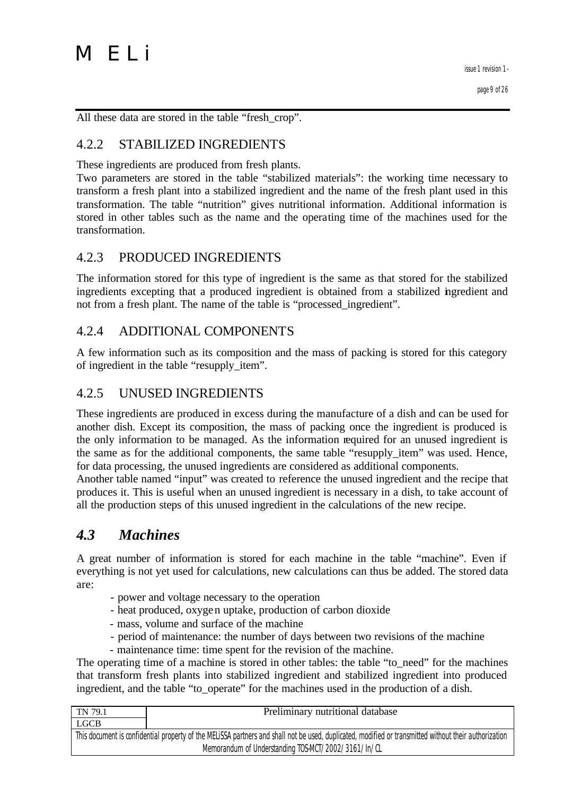All these data are stored in the table "fresh\_crop".

#### 4.2.2 STABILIZED INGREDIENTS

These ingredients are produced from fresh plants.

Two parameters are stored in the table "stabilized materials": the working time necessary to transform a fresh plant into a stabilized ingredient and the name of the fresh plant used in this transformation. The table "nutrition" gives nutritional information. Additional information is stored in other tables such as the name and the operating time of the machines used for the transformation.

#### 4.2.3 PRODUCED INGREDIENTS

The information stored for this type of ingredient is the same as that stored for the stabilized ingredients excepting that a produced ingredient is obtained from a stabilized ingredient and not from a fresh plant. The name of the table is "processed\_ingredient".

#### 4.2.4 ADDITIONAL COMPONENTS

A few information such as its composition and the mass of packing is stored for this category of ingredient in the table "resupply\_item".

#### 4.2.5 UNUSED INGREDIENTS

These ingredients are produced in excess during the manufacture of a dish and can be used for another dish. Except its composition, the mass of packing once the ingredient is produced is the only information to be managed. As the information required for an unused ingredient is the same as for the additional components, the same table "resupply\_item" was used. Hence, for data processing, the unused ingredients are considered as additional components.

Another table named "input" was created to reference the unused ingredient and the recipe that produces it. This is useful when an unused ingredient is necessary in a dish, to take account of all the production steps of this unused ingredient in the calculations of the new recipe.

#### *4.3 Machines*

A great number of information is stored for each machine in the table "machine". Even if everything is not yet used for calculations, new calculations can thus be added. The stored data are:

- power and voltage necessary to the operation
- heat produced, oxygen uptake, production of carbon dioxide
- mass, volume and surface of the machine
- period of maintenance: the number of days between two revisions of the machine
- maintenance time: time spent for the revision of the machine.

The operating time of a machine is stored in other tables: the table "to\_need" for the machines that transform fresh plants into stabilized ingredient and stabilized ingredient into produced ingredient, and the table "to\_operate" for the machines used in the production of a dish.

| TN 79.1                                                                                                                                               | Preliminary nutritional database |  |
|-------------------------------------------------------------------------------------------------------------------------------------------------------|----------------------------------|--|
| LGCB                                                                                                                                                  |                                  |  |
| This document is confidential property of the MELISSA partners and shall not be used, duplicated, modified or transmitted without their authorization |                                  |  |
| Memorandum of Understanding TOS-MCT/2002/3161/In/CL                                                                                                   |                                  |  |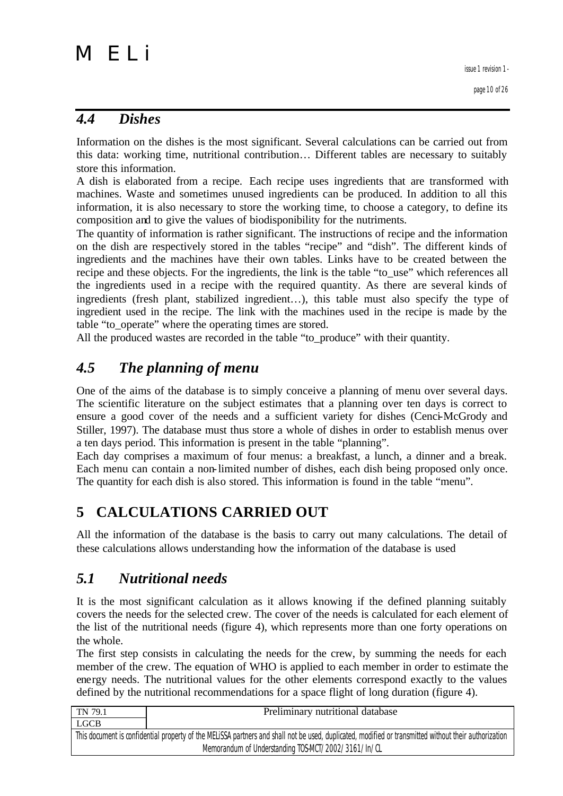#### *4.4 Dishes*

Information on the dishes is the most significant. Several calculations can be carried out from this data: working time, nutritional contribution… Different tables are necessary to suitably store this information.

A dish is elaborated from a recipe. Each recipe uses ingredients that are transformed with machines. Waste and sometimes unused ingredients can be produced. In addition to all this information, it is also necessary to store the working time, to choose a category, to define its composition and to give the values of biodisponibility for the nutriments.

The quantity of information is rather significant. The instructions of recipe and the information on the dish are respectively stored in the tables "recipe" and "dish". The different kinds of ingredients and the machines have their own tables. Links have to be created between the recipe and these objects. For the ingredients, the link is the table "to\_use" which references all the ingredients used in a recipe with the required quantity. As there are several kinds of ingredients (fresh plant, stabilized ingredient…), this table must also specify the type of ingredient used in the recipe. The link with the machines used in the recipe is made by the table "to\_operate" where the operating times are stored.

All the produced wastes are recorded in the table "to\_produce" with their quantity.

### *4.5 The planning of menu*

One of the aims of the database is to simply conceive a planning of menu over several days. The scientific literature on the subject estimates that a planning over ten days is correct to ensure a good cover of the needs and a sufficient variety for dishes (Cenci-McGrody and Stiller, 1997). The database must thus store a whole of dishes in order to establish menus over a ten days period. This information is present in the table "planning".

Each day comprises a maximum of four menus: a breakfast, a lunch, a dinner and a break. Each menu can contain a non-limited number of dishes, each dish being proposed only once. The quantity for each dish is also stored. This information is found in the table "menu".

### **5 CALCULATIONS CARRIED OUT**

All the information of the database is the basis to carry out many calculations. The detail of these calculations allows understanding how the information of the database is used

### *5.1 Nutritional needs*

It is the most significant calculation as it allows knowing if the defined planning suitably covers the needs for the selected crew. The cover of the needs is calculated for each element of the list of the nutritional needs (figure 4), which represents more than one forty operations on the whole.

The first step consists in calculating the needs for the crew, by summing the needs for each member of the crew. The equation of WHO is applied to each member in order to estimate the energy needs. The nutritional values for the other elements correspond exactly to the values defined by the nutritional recommendations for a space flight of long duration (figure 4).

| TN 79.1                                                                                                                                               | Preliminary nutritional database |  |
|-------------------------------------------------------------------------------------------------------------------------------------------------------|----------------------------------|--|
| LGCB                                                                                                                                                  |                                  |  |
| This document is confidential property of the MELISSA partners and shall not be used, duplicated, modified or transmitted without their authorization |                                  |  |
| Memorandum of Understanding TOS-MCT/2002/3161/In/CL                                                                                                   |                                  |  |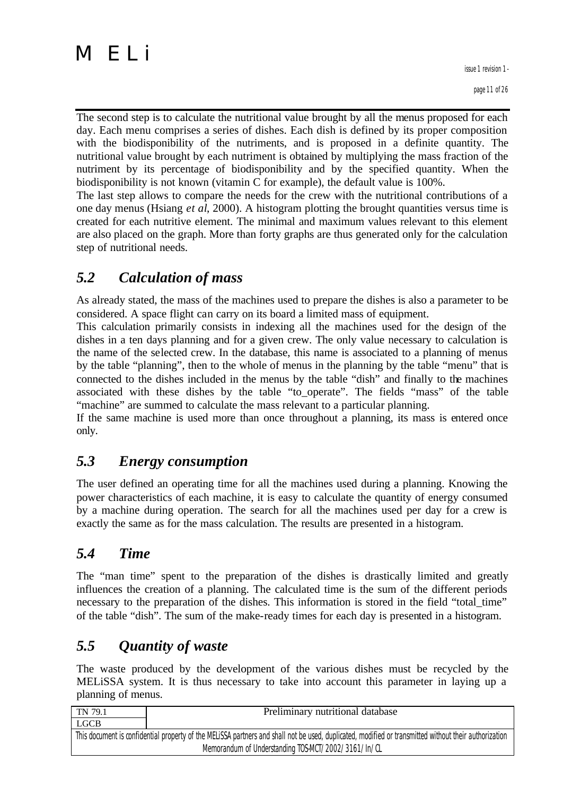The second step is to calculate the nutritional value brought by all the menus proposed for each day. Each menu comprises a series of dishes. Each dish is defined by its proper composition with the biodisponibility of the nutriments, and is proposed in a definite quantity. The nutritional value brought by each nutriment is obtained by multiplying the mass fraction of the nutriment by its percentage of biodisponibility and by the specified quantity. When the biodisponibility is not known (vitamin C for example), the default value is 100%.

The last step allows to compare the needs for the crew with the nutritional contributions of a one day menus (Hsiang *et al*, 2000). A histogram plotting the brought quantities versus time is created for each nutritive element. The minimal and maximum values relevant to this element are also placed on the graph. More than forty graphs are thus generated only for the calculation step of nutritional needs.

# *5.2 Calculation of mass*

As already stated, the mass of the machines used to prepare the dishes is also a parameter to be considered. A space flight can carry on its board a limited mass of equipment.

This calculation primarily consists in indexing all the machines used for the design of the dishes in a ten days planning and for a given crew. The only value necessary to calculation is the name of the selected crew. In the database, this name is associated to a planning of menus by the table "planning", then to the whole of menus in the planning by the table "menu" that is connected to the dishes included in the menus by the table "dish" and finally to the machines associated with these dishes by the table "to\_operate". The fields "mass" of the table "machine" are summed to calculate the mass relevant to a particular planning.

If the same machine is used more than once throughout a planning, its mass is entered once only.

# *5.3 Energy consumption*

The user defined an operating time for all the machines used during a planning. Knowing the power characteristics of each machine, it is easy to calculate the quantity of energy consumed by a machine during operation. The search for all the machines used per day for a crew is exactly the same as for the mass calculation. The results are presented in a histogram.

# *5.4 Time*

The "man time" spent to the preparation of the dishes is drastically limited and greatly influences the creation of a planning. The calculated time is the sum of the different periods necessary to the preparation of the dishes. This information is stored in the field "total\_time" of the table "dish". The sum of the make-ready times for each day is presented in a histogram.

# *5.5 Quantity of waste*

The waste produced by the development of the various dishes must be recycled by the MELiSSA system. It is thus necessary to take into account this parameter in laying up a planning of menus.

| TN 79.1                                                                                                                                               | Preliminary nutritional database |  |
|-------------------------------------------------------------------------------------------------------------------------------------------------------|----------------------------------|--|
| LGCB                                                                                                                                                  |                                  |  |
| This document is confidential property of the MELISSA partners and shall not be used, duplicated, modified or transmitted without their authorization |                                  |  |
| Memorandum of Understanding TOS-MCT/2002/3161/In/CL                                                                                                   |                                  |  |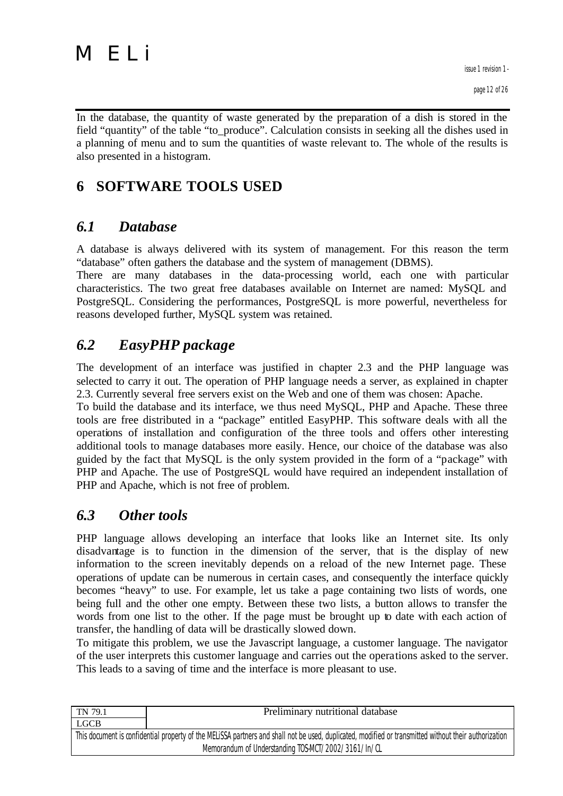

In the database, the quantity of waste generated by the preparation of a dish is stored in the field "quantity" of the table "to\_produce". Calculation consists in seeking all the dishes used in a planning of menu and to sum the quantities of waste relevant to. The whole of the results is also presented in a histogram.

# **6 SOFTWARE TOOLS USED**

# *6.1 Database*

A database is always delivered with its system of management. For this reason the term "database" often gathers the database and the system of management (DBMS).

There are many databases in the data-processing world, each one with particular characteristics. The two great free databases available on Internet are named: MySQL and PostgreSQL. Considering the performances, PostgreSQL is more powerful, nevertheless for reasons developed further, MySQL system was retained.

# *6.2 EasyPHP package*

The development of an interface was justified in chapter 2.3 and the PHP language was selected to carry it out. The operation of PHP language needs a server, as explained in chapter 2.3. Currently several free servers exist on the Web and one of them was chosen: Apache.

To build the database and its interface, we thus need MySQL, PHP and Apache. These three tools are free distributed in a "package" entitled EasyPHP. This software deals with all the operations of installation and configuration of the three tools and offers other interesting additional tools to manage databases more easily. Hence, our choice of the database was also guided by the fact that MySQL is the only system provided in the form of a "package" with PHP and Apache. The use of PostgreSQL would have required an independent installation of PHP and Apache, which is not free of problem.

### *6.3 Other tools*

PHP language allows developing an interface that looks like an Internet site. Its only disadvantage is to function in the dimension of the server, that is the display of new information to the screen inevitably depends on a reload of the new Internet page. These operations of update can be numerous in certain cases, and consequently the interface quickly becomes "heavy" to use. For example, let us take a page containing two lists of words, one being full and the other one empty. Between these two lists, a button allows to transfer the words from one list to the other. If the page must be brought up to date with each action of transfer, the handling of data will be drastically slowed down.

To mitigate this problem, we use the Javascript language, a customer language. The navigator of the user interprets this customer language and carries out the operations asked to the server. This leads to a saving of time and the interface is more pleasant to use.

| TN 79.1                                                                                                                                               | Preliminary nutritional database |  |
|-------------------------------------------------------------------------------------------------------------------------------------------------------|----------------------------------|--|
| <b>LGCB</b>                                                                                                                                           |                                  |  |
| This document is confidential property of the MELISSA partners and shall not be used, duplicated, modified or transmitted without their authorization |                                  |  |
| Memorandum of Understanding TOS-MCT/2002/3161/In/CL                                                                                                   |                                  |  |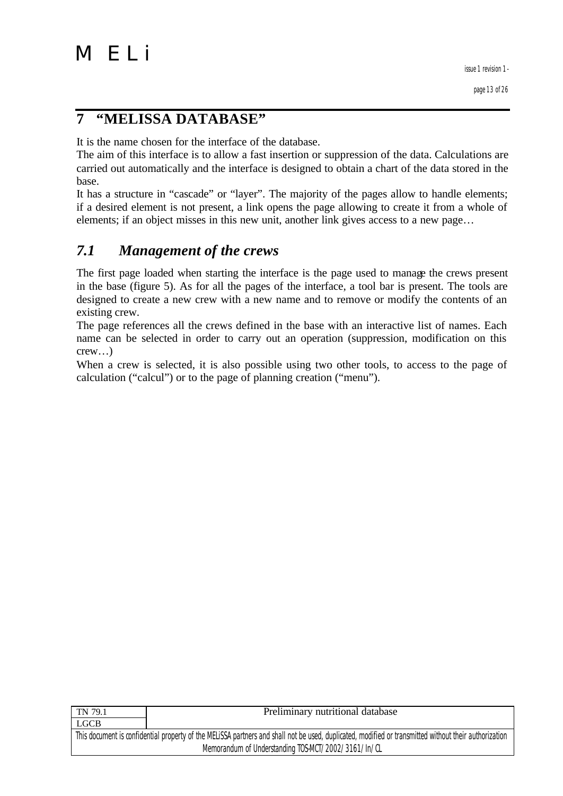# **7 "MELISSA DATABASE"**

It is the name chosen for the interface of the database.

The aim of this interface is to allow a fast insertion or suppression of the data. Calculations are carried out automatically and the interface is designed to obtain a chart of the data stored in the base.

It has a structure in "cascade" or "layer". The majority of the pages allow to handle elements; if a desired element is not present, a link opens the page allowing to create it from a whole of elements; if an object misses in this new unit, another link gives access to a new page…

# *7.1 Management of the crews*

The first page loaded when starting the interface is the page used to manage the crews present in the base (figure 5). As for all the pages of the interface, a tool bar is present. The tools are designed to create a new crew with a new name and to remove or modify the contents of an existing crew.

The page references all the crews defined in the base with an interactive list of names. Each name can be selected in order to carry out an operation (suppression, modification on this crew…)

When a crew is selected, it is also possible using two other tools, to access to the page of calculation ("calcul") or to the page of planning creation ("menu").

| <b>TN</b> 79.1                                                                                                                                        | Preliminary nutritional database |  |
|-------------------------------------------------------------------------------------------------------------------------------------------------------|----------------------------------|--|
| <b>LGCB</b>                                                                                                                                           |                                  |  |
| This document is confidential property of the MELISSA partners and shall not be used, duplicated, modified or transmitted without their authorization |                                  |  |
| Memorandum of Understanding TOS-MCT/2002/3161/In/CL                                                                                                   |                                  |  |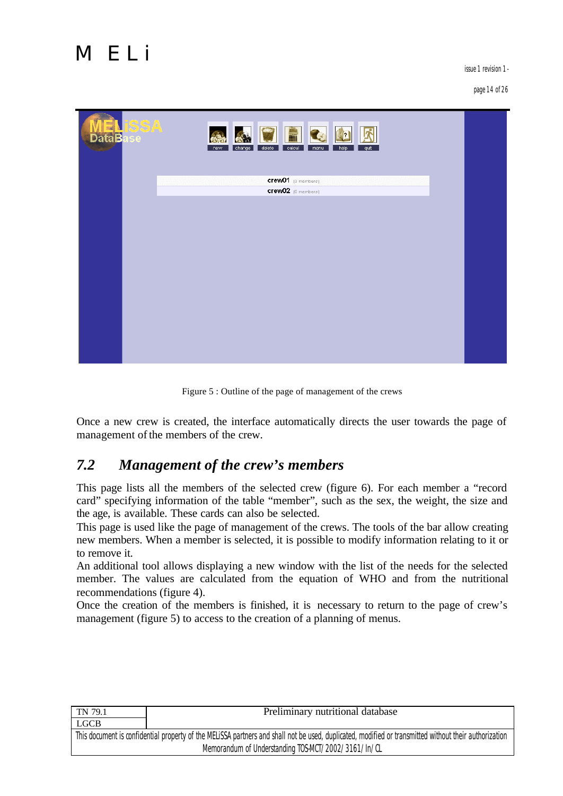issue 1 revision 1 -

page 14 of 26



Figure 5 : Outline of the page of management of the crews

Once a new crew is created, the interface automatically directs the user towards the page of management of the members of the crew.

# *7.2 Management of the crew's members*

This page lists all the members of the selected crew (figure 6). For each member a "record card" specifying information of the table "member", such as the sex, the weight, the size and the age, is available. These cards can also be selected.

This page is used like the page of management of the crews. The tools of the bar allow creating new members. When a member is selected, it is possible to modify information relating to it or to remove it.

An additional tool allows displaying a new window with the list of the needs for the selected member. The values are calculated from the equation of WHO and from the nutritional recommendations (figure 4).

Once the creation of the members is finished, it is necessary to return to the page of crew's management (figure 5) to access to the creation of a planning of menus.

| TN 79.1                                                                                                                                               | Preliminary nutritional database |  |
|-------------------------------------------------------------------------------------------------------------------------------------------------------|----------------------------------|--|
| <b>LGCB</b>                                                                                                                                           |                                  |  |
| This document is confidential property of the MELISSA partners and shall not be used, duplicated, modified or transmitted without their authorization |                                  |  |
| Memorandum of Understanding TOS-MCT/2002/3161/In/CL                                                                                                   |                                  |  |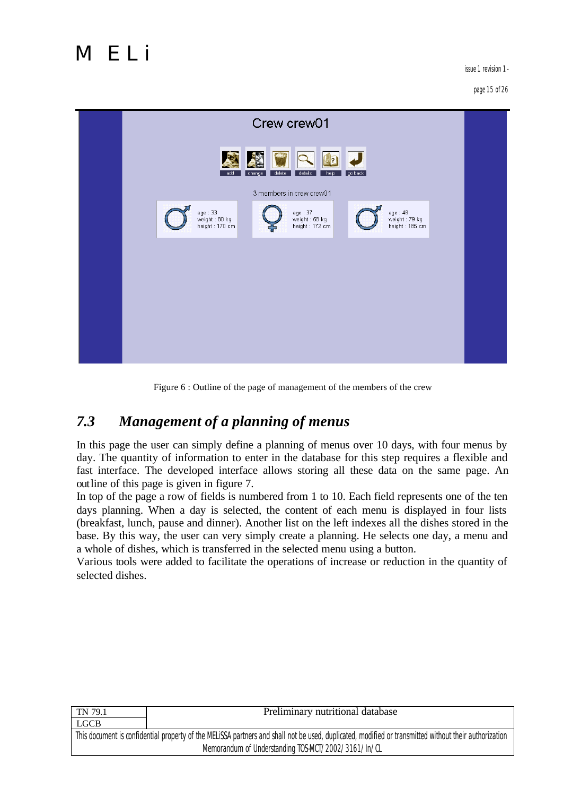issue 1 revision 1 -



Figure 6 : Outline of the page of management of the members of the crew

# *7.3 Management of a planning of menus*

In this page the user can simply define a planning of menus over 10 days, with four menus by day. The quantity of information to enter in the database for this step requires a flexible and fast interface. The developed interface allows storing all these data on the same page. An outline of this page is given in figure 7.

In top of the page a row of fields is numbered from 1 to 10. Each field represents one of the ten days planning. When a day is selected, the content of each menu is displayed in four lists (breakfast, lunch, pause and dinner). Another list on the left indexes all the dishes stored in the base. By this way, the user can very simply create a planning. He selects one day, a menu and a whole of dishes, which is transferred in the selected menu using a button.

Various tools were added to facilitate the operations of increase or reduction in the quantity of selected dishes.

| TN 79.1                                                                                                                                               | Preliminary nutritional database |  |
|-------------------------------------------------------------------------------------------------------------------------------------------------------|----------------------------------|--|
| <b>LGCB</b>                                                                                                                                           |                                  |  |
| This document is confidential property of the MELISSA partners and shall not be used, duplicated, modified or transmitted without their authorization |                                  |  |
| Memorandum of Understanding TOS-MCT/2002/3161/In/CL                                                                                                   |                                  |  |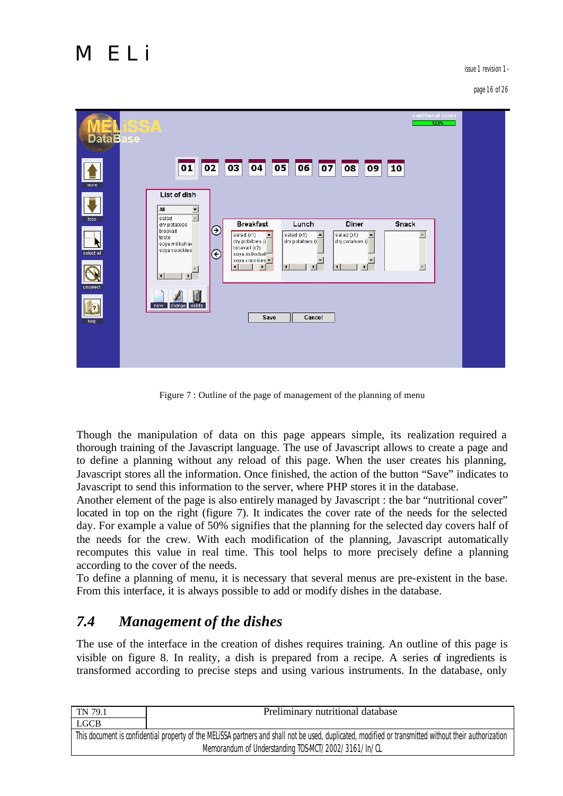issue 1 revision 1 -

page 16 of 26



Figure 7 : Outline of the page of management of the planning of menu

Though the manipulation of data on this page appears simple, its realization required a thorough training of the Javascript language. The use of Javascript allows to create a page and to define a planning without any reload of this page. When the user creates his planning, Javascript stores all the information. Once finished, the action of the button "Save" indicates to Javascript to send this information to the server, where PHP stores it in the database.

Another element of the page is also entirely managed by Javascript : the bar "nutritional cover" located in top on the right (figure 7). It indicates the cover rate of the needs for the selected day. For example a value of 50% signifies that the planning for the selected day covers half of the needs for the crew. With each modification of the planning, Javascript automatically recomputes this value in real time. This tool helps to more precisely define a planning according to the cover of the needs.

To define a planning of menu, it is necessary that several menus are pre-existent in the base. From this interface, it is always possible to add or modify dishes in the database.

# *7.4 Management of the dishes*

The use of the interface in the creation of dishes requires training. An outline of this page is visible on figure 8. In reality, a dish is prepared from a recipe. A series of ingredients is transformed according to precise steps and using various instruments. In the database, only

| TN 79.1                                                                                                                                               | Preliminary nutritional database |  |
|-------------------------------------------------------------------------------------------------------------------------------------------------------|----------------------------------|--|
| <b>LGCB</b>                                                                                                                                           |                                  |  |
| This document is confidential property of the MELISSA partners and shall not be used, duplicated, modified or transmitted without their authorization |                                  |  |
| Memorandum of Understanding TOS-MCT/2002/3161/In/CL                                                                                                   |                                  |  |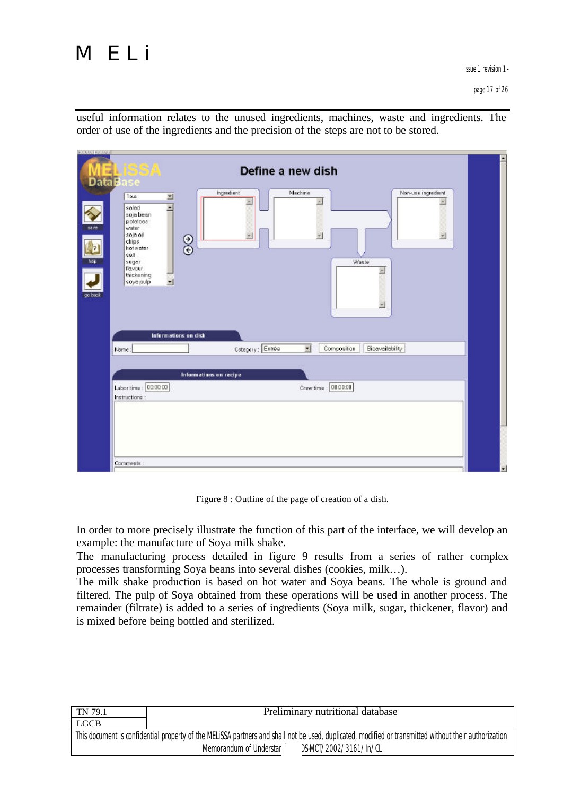

useful information relates to the unused ingredients, machines, waste and ingredients. The order of use of the ingredients and the precision of the steps are not to be stored.



Figure 8 : Outline of the page of creation of a dish.

In order to more precisely illustrate the function of this part of the interface, we will develop an example: the manufacture of Soya milk shake.

The manufacturing process detailed in figure 9 results from a series of rather complex processes transforming Soya beans into several dishes (cookies, milk…).

The milk shake production is based on hot water and Soya beans. The whole is ground and filtered. The pulp of Soya obtained from these operations will be used in another process. The remainder (filtrate) is added to a series of ingredients (Soya milk, sugar, thickener, flavor) and is mixed before being bottled and sterilized.

| TN 79.1                                                                                                                                               | Preliminary nutritional database                  |  |
|-------------------------------------------------------------------------------------------------------------------------------------------------------|---------------------------------------------------|--|
| <b>LGCB</b>                                                                                                                                           |                                                   |  |
| This document is confidential property of the MELISSA partners and shall not be used, duplicated, modified or transmitted without their authorization |                                                   |  |
|                                                                                                                                                       | )S-MCT/2002/3161/In/CL<br>Memorandum of Understar |  |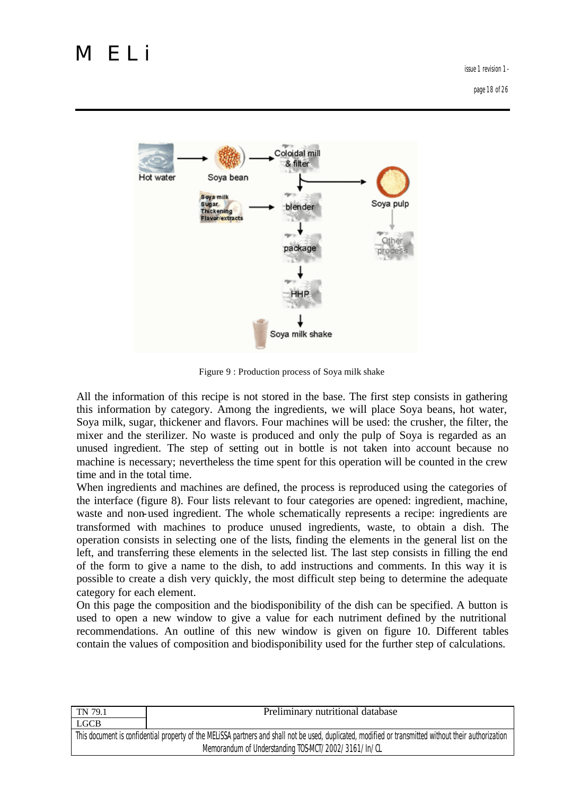

Figure 9 : Production process of Soya milk shake

All the information of this recipe is not stored in the base. The first step consists in gathering this information by category. Among the ingredients, we will place Soya beans, hot water, Soya milk, sugar, thickener and flavors. Four machines will be used: the crusher, the filter, the mixer and the sterilizer. No waste is produced and only the pulp of Soya is regarded as an unused ingredient. The step of setting out in bottle is not taken into account because no machine is necessary; nevertheless the time spent for this operation will be counted in the crew time and in the total time.

When ingredients and machines are defined, the process is reproduced using the categories of the interface (figure 8). Four lists relevant to four categories are opened: ingredient, machine, waste and non-used ingredient. The whole schematically represents a recipe: ingredients are transformed with machines to produce unused ingredients, waste, to obtain a dish. The operation consists in selecting one of the lists, finding the elements in the general list on the left, and transferring these elements in the selected list. The last step consists in filling the end of the form to give a name to the dish, to add instructions and comments. In this way it is possible to create a dish very quickly, the most difficult step being to determine the adequate category for each element.

On this page the composition and the biodisponibility of the dish can be specified. A button is used to open a new window to give a value for each nutriment defined by the nutritional recommendations. An outline of this new window is given on figure 10. Different tables contain the values of composition and biodisponibility used for the further step of calculations.

| TN 79.1                                                                                                                                               | Preliminary nutritional database |
|-------------------------------------------------------------------------------------------------------------------------------------------------------|----------------------------------|
| <b>LGCB</b>                                                                                                                                           |                                  |
| This document is confidential property of the MELISSA partners and shall not be used, duplicated, modified or transmitted without their authorization |                                  |
| Memorandum of Understanding TOS-MCT/2002/3161/In/CL                                                                                                   |                                  |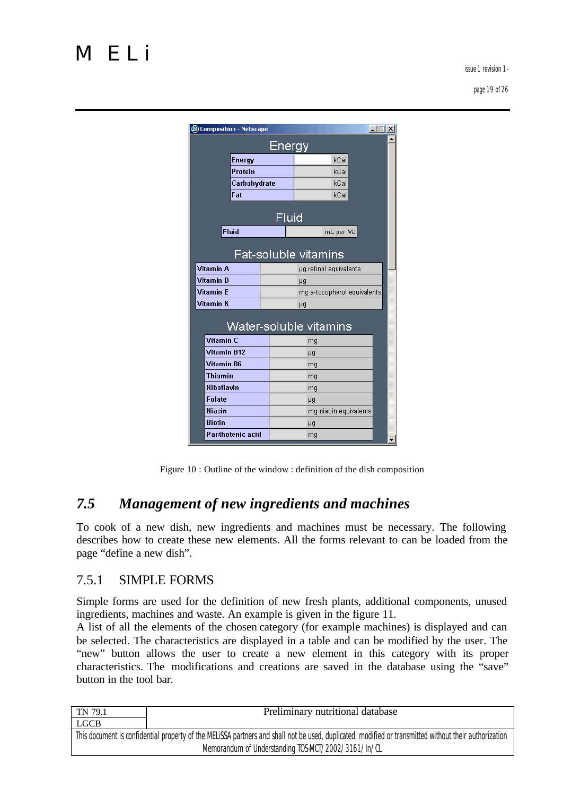page 19 of 26

| <u>Energy</u>                            |                |  |                             |  |  |
|------------------------------------------|----------------|--|-----------------------------|--|--|
|                                          | kCal<br>Energy |  |                             |  |  |
|                                          | <b>Protein</b> |  | kCal                        |  |  |
|                                          | Carbohydrate   |  | kCal                        |  |  |
|                                          | Fat            |  | kCal                        |  |  |
| Fluid                                    |                |  |                             |  |  |
| <b>Fluid</b>                             |                |  | mL per MJ                   |  |  |
| Fat-soluble vitamins<br><b>Vitamin A</b> |                |  |                             |  |  |
|                                          |                |  | µg retinol equivalents      |  |  |
| <b>Vitamin D</b>                         |                |  | пă                          |  |  |
|                                          |                |  |                             |  |  |
| <b>Vitamin F</b>                         |                |  | mg a-tocopherol equivalents |  |  |
|                                          |                |  | μg                          |  |  |
|                                          |                |  | Water-soluble vitamins      |  |  |
| Vitamin <sub>C</sub>                     |                |  | mg                          |  |  |
| <b>Vitamin B12</b>                       |                |  | H <sub>3</sub>              |  |  |
| Vitamin K<br><b>Vitamin B6</b>           |                |  | mg                          |  |  |
| <b>Thiamin</b>                           |                |  | mg                          |  |  |
| <b>Riboflavin</b>                        |                |  | mg                          |  |  |
| <b>Folate</b>                            |                |  | μg                          |  |  |
| <b>Niacin</b>                            |                |  | mg niacin equivalents       |  |  |
| <b>Biotin</b><br><b>Panthotenic acid</b> |                |  | H <sub>3</sub>              |  |  |

Figure 10 : Outline of the window : definition of the dish composition

### *7.5 Management of new ingredients and machines*

To cook of a new dish, new ingredients and machines must be necessary. The following describes how to create these new elements. All the forms relevant to can be loaded from the page "define a new dish".

#### 7.5.1 SIMPLE FORMS

Simple forms are used for the definition of new fresh plants, additional components, unused ingredients, machines and waste. An example is given in the figure 11.

A list of all the elements of the chosen category (for example machines) is displayed and can be selected. The characteristics are displayed in a table and can be modified by the user. The "new" button allows the user to create a new element in this category with its proper characteristics. The modifications and creations are saved in the database using the "save" button in the tool bar.

| TN 79.1                                                                                                                                               | Preliminary nutritional database                    |  |
|-------------------------------------------------------------------------------------------------------------------------------------------------------|-----------------------------------------------------|--|
| <b>LGCB</b>                                                                                                                                           |                                                     |  |
| This document is confidential property of the MELISSA partners and shall not be used, duplicated, modified or transmitted without their authorization |                                                     |  |
|                                                                                                                                                       | Memorandum of Understanding TOS-MCT/2002/3161/In/CL |  |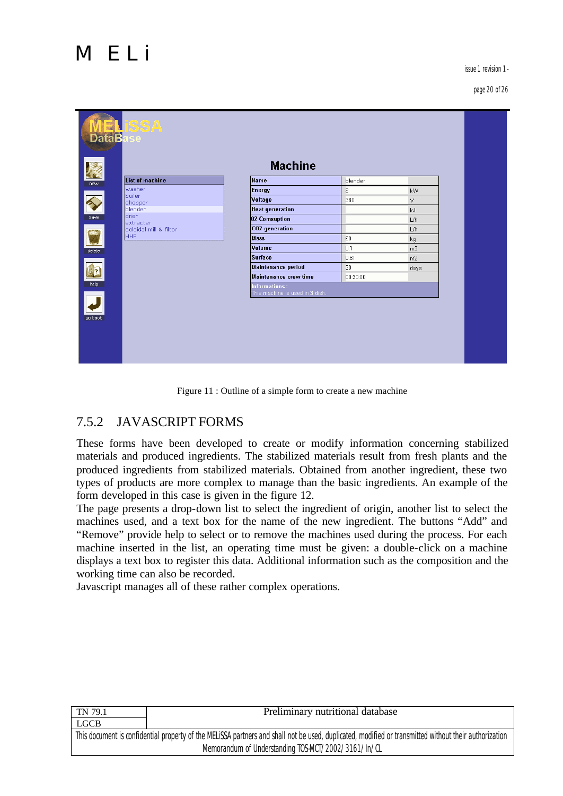issue 1 revision 1 -

#### page 20 of 26

| <b>Machine</b><br>List of machine<br>Name<br>blender<br>new<br>washer<br>$\overline{c}$<br><b>Energy</b><br>kW<br>boiler.<br>Voltage<br>380<br>V.<br>chopper<br><b>Heat generation</b><br>blender<br>kJ.<br>drier<br>save<br>02 Comsuption<br>L/h<br>extracter<br>CO2 generation<br>coloidal mill & filter<br>L/h<br>HHP<br><b>Mass</b><br>60<br>kg<br>Volume<br>0.1<br>m <sub>3</sub><br>delete<br><b>Surface</b><br>0.81<br>m2<br>Maintenance period<br>30<br>days<br>Maintenance crew time<br>00:30:00<br>help<br><b>Informations:</b><br>This machine is used in 3 dish. |
|------------------------------------------------------------------------------------------------------------------------------------------------------------------------------------------------------------------------------------------------------------------------------------------------------------------------------------------------------------------------------------------------------------------------------------------------------------------------------------------------------------------------------------------------------------------------------|
|                                                                                                                                                                                                                                                                                                                                                                                                                                                                                                                                                                              |
|                                                                                                                                                                                                                                                                                                                                                                                                                                                                                                                                                                              |
|                                                                                                                                                                                                                                                                                                                                                                                                                                                                                                                                                                              |
|                                                                                                                                                                                                                                                                                                                                                                                                                                                                                                                                                                              |
|                                                                                                                                                                                                                                                                                                                                                                                                                                                                                                                                                                              |
|                                                                                                                                                                                                                                                                                                                                                                                                                                                                                                                                                                              |
|                                                                                                                                                                                                                                                                                                                                                                                                                                                                                                                                                                              |
|                                                                                                                                                                                                                                                                                                                                                                                                                                                                                                                                                                              |
|                                                                                                                                                                                                                                                                                                                                                                                                                                                                                                                                                                              |
|                                                                                                                                                                                                                                                                                                                                                                                                                                                                                                                                                                              |
|                                                                                                                                                                                                                                                                                                                                                                                                                                                                                                                                                                              |
|                                                                                                                                                                                                                                                                                                                                                                                                                                                                                                                                                                              |
|                                                                                                                                                                                                                                                                                                                                                                                                                                                                                                                                                                              |
| go back                                                                                                                                                                                                                                                                                                                                                                                                                                                                                                                                                                      |

#### Figure 11 : Outline of a simple form to create a new machine

#### 7.5.2 JAVASCRIPT FORMS

These forms have been developed to create or modify information concerning stabilized materials and produced ingredients. The stabilized materials result from fresh plants and the produced ingredients from stabilized materials. Obtained from another ingredient, these two types of products are more complex to manage than the basic ingredients. An example of the form developed in this case is given in the figure 12.

The page presents a drop-down list to select the ingredient of origin, another list to select the machines used, and a text box for the name of the new ingredient. The buttons "Add" and "Remove" provide help to select or to remove the machines used during the process. For each machine inserted in the list, an operating time must be given: a double-click on a machine displays a text box to register this data. Additional information such as the composition and the working time can also be recorded.

Javascript manages all of these rather complex operations.

| TN 79.1                                                                                                                                               | Preliminary nutritional database |  |
|-------------------------------------------------------------------------------------------------------------------------------------------------------|----------------------------------|--|
| LGCB                                                                                                                                                  |                                  |  |
| This document is confidential property of the MELiSSA partners and shall not be used, duplicated, modified or transmitted without their authorization |                                  |  |
| Memorandum of Understanding TOS-MCT/2002/3161/In/CL                                                                                                   |                                  |  |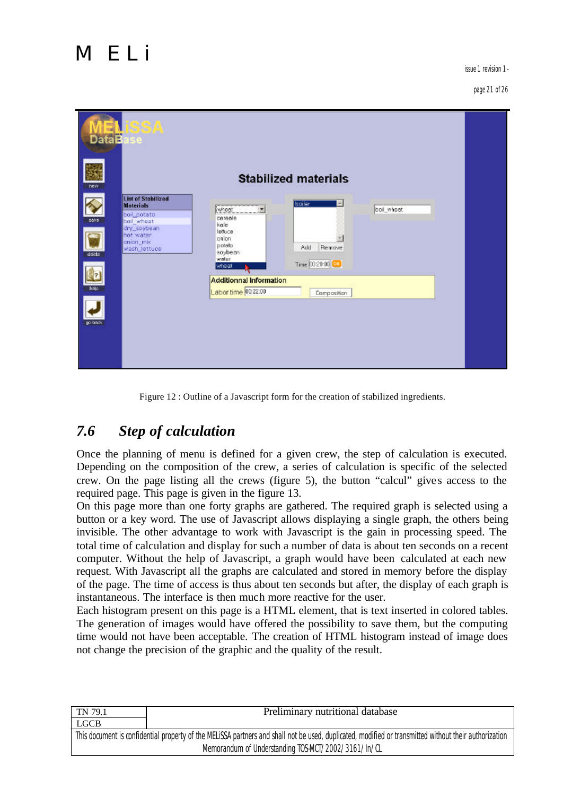

#### page 21 of 26

| <b>DataBa</b><br>new | 58 P<br>se                                                                                                                           |                                                                                          | <b>Stabilized materials</b>                |            |  |
|----------------------|--------------------------------------------------------------------------------------------------------------------------------------|------------------------------------------------------------------------------------------|--------------------------------------------|------------|--|
| save.<br>delete      | <b>List of Stabilized</b><br><b>Materials</b><br>boil potato<br>boil wheat<br>dry_soybean<br>hot water<br>anion mix<br>wash_lettuce. | wheat<br>۰<br>cereale<br>kale<br>lettuce<br>onion<br>potato<br>soybean<br>water<br>wheet | boiler<br>Add<br>Remove<br>Time 0020:00 OX | boil_wheet |  |
| hele<br>go back      |                                                                                                                                      | <b>Additionnal Information</b><br>Labor time 00.22.00                                    | Composition                                |            |  |

Figure 12 : Outline of a Javascript form for the creation of stabilized ingredients.

# *7.6 Step of calculation*

Once the planning of menu is defined for a given crew, the step of calculation is executed. Depending on the composition of the crew, a series of calculation is specific of the selected crew. On the page listing all the crews (figure 5), the button "calcul" gives access to the required page. This page is given in the figure 13.

On this page more than one forty graphs are gathered. The required graph is selected using a button or a key word. The use of Javascript allows displaying a single graph, the others being invisible. The other advantage to work with Javascript is the gain in processing speed. The total time of calculation and display for such a number of data is about ten seconds on a recent computer. Without the help of Javascript, a graph would have been calculated at each new request. With Javascript all the graphs are calculated and stored in memory before the display of the page. The time of access is thus about ten seconds but after, the display of each graph is instantaneous. The interface is then much more reactive for the user.

Each histogram present on this page is a HTML element, that is text inserted in colored tables. The generation of images would have offered the possibility to save them, but the computing time would not have been acceptable. The creation of HTML histogram instead of image does not change the precision of the graphic and the quality of the result.

| TN 79.1                                                                                                                                               | Preliminary nutritional database |  |
|-------------------------------------------------------------------------------------------------------------------------------------------------------|----------------------------------|--|
| <b>LGCB</b>                                                                                                                                           |                                  |  |
| This document is confidential property of the MELISSA partners and shall not be used, duplicated, modified or transmitted without their authorization |                                  |  |
| Memorandum of Understanding TOS-MCT/2002/3161/In/CL                                                                                                   |                                  |  |
|                                                                                                                                                       |                                  |  |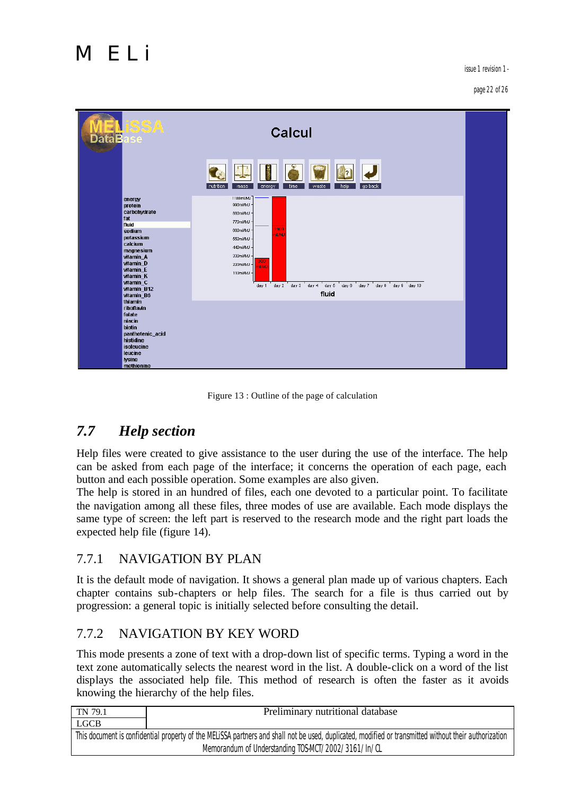issue 1 revision 1 -

#### page 22 of 26

| SSA<br>Data <b>B</b><br><b>ise</b>                                                                                                                                                             | Calcul                                                                                                                                                                                                                                  |  |
|------------------------------------------------------------------------------------------------------------------------------------------------------------------------------------------------|-----------------------------------------------------------------------------------------------------------------------------------------------------------------------------------------------------------------------------------------|--|
|                                                                                                                                                                                                | nutrition<br>go back<br>mass<br>energy<br>time<br>waste<br>help                                                                                                                                                                         |  |
| energy<br>protein<br>carbohydrate<br>fat<br>fluid<br>sodium<br>potassium<br>calcium<br>magnesium<br>vitamin_A<br>vitamin_D<br>vitamin_E<br>vitamin_K<br>vitamin_C<br>vitamin B12<br>vitamin_B6 | 1100ml/MJ<br>990ml/MJ<br>880ml/MJ<br>770ml/MJ<br>1100<br>660ml/MJ ·<br>mi/M.<br>550ml/MJ<br>440ml/MJ<br>330ml/MJ<br>300<br>220ml/MJ<br><b>UMIm</b><br>110ml/MJ<br>day 1 day 2 day 3 day 4 day 6 day 6 day 7 day 8 day 9 day 10<br>fluid |  |
| thiamin<br><b>riboflavin</b><br>folate<br>niacin<br><b>biotin</b><br>panthotenic_acid<br>histidine<br>isoleucine<br>leucine<br>lysine<br>methionine                                            |                                                                                                                                                                                                                                         |  |

#### Figure 13 : Outline of the page of calculation

# *7.7 Help section*

Help files were created to give assistance to the user during the use of the interface. The help can be asked from each page of the interface; it concerns the operation of each page, each button and each possible operation. Some examples are also given.

The help is stored in an hundred of files, each one devoted to a particular point. To facilitate the navigation among all these files, three modes of use are available. Each mode displays the same type of screen: the left part is reserved to the research mode and the right part loads the expected help file (figure 14).

#### 7.7.1 NAVIGATION BY PLAN

It is the default mode of navigation. It shows a general plan made up of various chapters. Each chapter contains sub-chapters or help files. The search for a file is thus carried out by progression: a general topic is initially selected before consulting the detail.

#### 7.7.2 NAVIGATION BY KEY WORD

This mode presents a zone of text with a drop-down list of specific terms. Typing a word in the text zone automatically selects the nearest word in the list. A double-click on a word of the list displays the associated help file. This method of research is often the faster as it avoids knowing the hierarchy of the help files.

| TN 79.1                                                                                                                                               | Preliminary nutritional database |  |
|-------------------------------------------------------------------------------------------------------------------------------------------------------|----------------------------------|--|
| <b>LGCB</b>                                                                                                                                           |                                  |  |
| This document is confidential property of the MELISSA partners and shall not be used, duplicated, modified or transmitted without their authorization |                                  |  |
| Memorandum of Understanding TOS-MCT/2002/3161/In/CL                                                                                                   |                                  |  |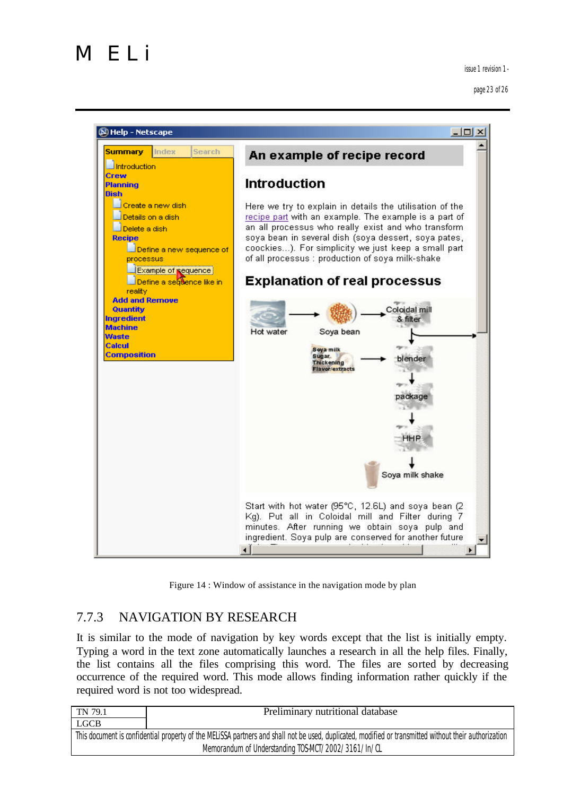

page 23 of 26



Figure 14 : Window of assistance in the navigation mode by plan

#### 7.7.3 NAVIGATION BY RESEARCH

It is similar to the mode of navigation by key words except that the list is initially empty. Typing a word in the text zone automatically launches a research in all the help files. Finally, the list contains all the files comprising this word. The files are sorted by decreasing occurrence of the required word. This mode allows finding information rather quickly if the required word is not too widespread.

| TN 79.1                                                                                                                                               | Preliminary nutritional database |
|-------------------------------------------------------------------------------------------------------------------------------------------------------|----------------------------------|
| <b>LGCB</b>                                                                                                                                           |                                  |
| This document is confidential property of the MELISSA partners and shall not be used, duplicated, modified or transmitted without their authorization |                                  |
| Memorandum of Understanding TOS-MCT/2002/3161/In/CL                                                                                                   |                                  |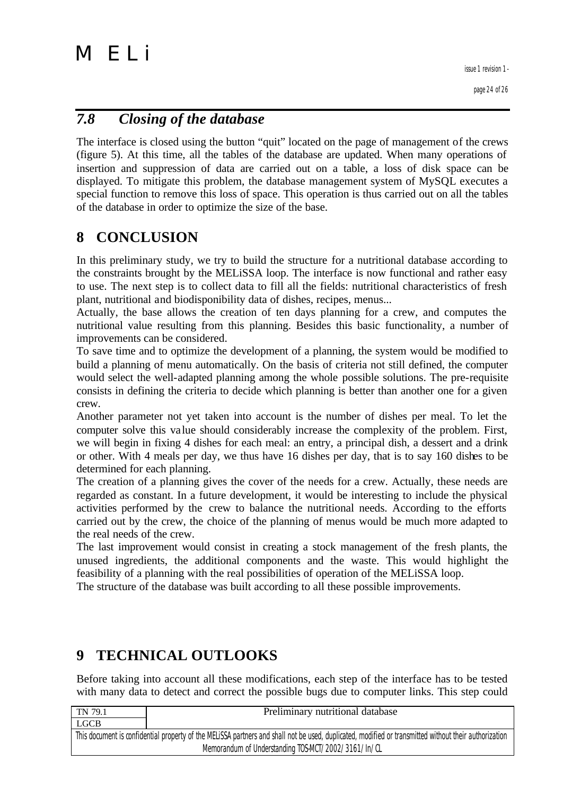page 24 of 26

# *7.8 Closing of the database*

The interface is closed using the button "quit" located on the page of management of the crews (figure 5). At this time, all the tables of the database are updated. When many operations of insertion and suppression of data are carried out on a table, a loss of disk space can be displayed. To mitigate this problem, the database management system of MySQL executes a special function to remove this loss of space. This operation is thus carried out on all the tables of the database in order to optimize the size of the base.

# **8 CONCLUSION**

In this preliminary study, we try to build the structure for a nutritional database according to the constraints brought by the MELiSSA loop. The interface is now functional and rather easy to use. The next step is to collect data to fill all the fields: nutritional characteristics of fresh plant, nutritional and biodisponibility data of dishes, recipes, menus...

Actually, the base allows the creation of ten days planning for a crew, and computes the nutritional value resulting from this planning. Besides this basic functionality, a number of improvements can be considered.

To save time and to optimize the development of a planning, the system would be modified to build a planning of menu automatically. On the basis of criteria not still defined, the computer would select the well-adapted planning among the whole possible solutions. The pre-requisite consists in defining the criteria to decide which planning is better than another one for a given crew.

Another parameter not yet taken into account is the number of dishes per meal. To let the computer solve this value should considerably increase the complexity of the problem. First, we will begin in fixing 4 dishes for each meal: an entry, a principal dish, a dessert and a drink or other. With 4 meals per day, we thus have 16 dishes per day, that is to say 160 dishes to be determined for each planning.

The creation of a planning gives the cover of the needs for a crew. Actually, these needs are regarded as constant. In a future development, it would be interesting to include the physical activities performed by the crew to balance the nutritional needs. According to the efforts carried out by the crew, the choice of the planning of menus would be much more adapted to the real needs of the crew.

The last improvement would consist in creating a stock management of the fresh plants, the unused ingredients, the additional components and the waste. This would highlight the feasibility of a planning with the real possibilities of operation of the MELiSSA loop.

The structure of the database was built according to all these possible improvements.

# **9 TECHNICAL OUTLOOKS**

Before taking into account all these modifications, each step of the interface has to be tested with many data to detect and correct the possible bugs due to computer links. This step could

| TN 79.1                                                                                                                                               | Preliminary nutritional database |  |
|-------------------------------------------------------------------------------------------------------------------------------------------------------|----------------------------------|--|
| <b>LGCB</b>                                                                                                                                           |                                  |  |
| This document is confidential property of the MELISSA partners and shall not be used, duplicated, modified or transmitted without their authorization |                                  |  |
| Memorandum of Understanding TOS-MCT/2002/3161/In/CL                                                                                                   |                                  |  |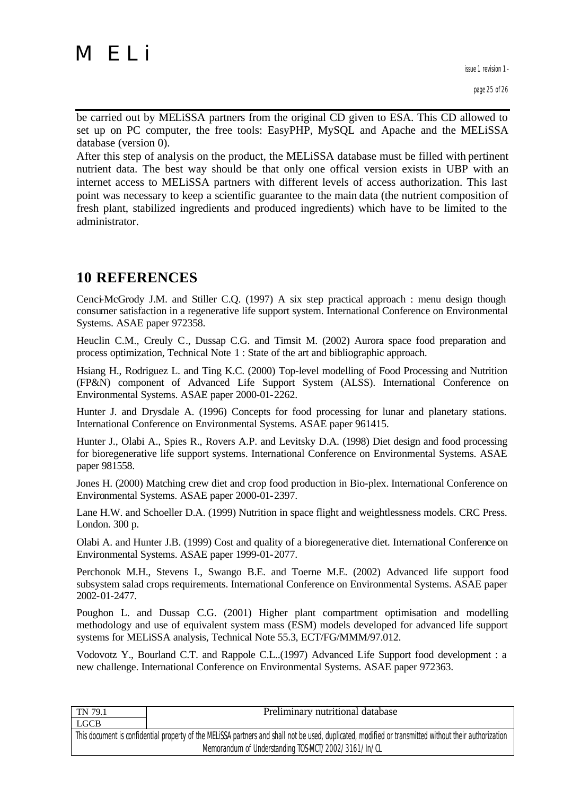issue 1 revision 1 -

be carried out by MELiSSA partners from the original CD given to ESA. This CD allowed to set up on PC computer, the free tools: EasyPHP, MySQL and Apache and the MELiSSA database (version 0).

After this step of analysis on the product, the MELiSSA database must be filled with pertinent nutrient data. The best way should be that only one offical version exists in UBP with an internet access to MELiSSA partners with different levels of access authorization. This last point was necessary to keep a scientific guarantee to the main data (the nutrient composition of fresh plant, stabilized ingredients and produced ingredients) which have to be limited to the administrator.

# **10 REFERENCES**

Cenci-McGrody J.M. and Stiller C.Q. (1997) A six step practical approach : menu design though consumer satisfaction in a regenerative life support system. International Conference on Environmental Systems. ASAE paper 972358.

Heuclin C.M., Creuly C., Dussap C.G. and Timsit M. (2002) Aurora space food preparation and process optimization, Technical Note 1 : State of the art and bibliographic approach.

Hsiang H., Rodriguez L. and Ting K.C. (2000) Top-level modelling of Food Processing and Nutrition (FP&N) component of Advanced Life Support System (ALSS). International Conference on Environmental Systems. ASAE paper 2000-01-2262.

Hunter J. and Drysdale A. (1996) Concepts for food processing for lunar and planetary stations. International Conference on Environmental Systems. ASAE paper 961415.

Hunter J., Olabi A., Spies R., Rovers A.P. and Levitsky D.A. (1998) Diet design and food processing for bioregenerative life support systems. International Conference on Environmental Systems. ASAE paper 981558.

Jones H. (2000) Matching crew diet and crop food production in Bio-plex. International Conference on Environmental Systems. ASAE paper 2000-01-2397.

Lane H.W. and Schoeller D.A. (1999) Nutrition in space flight and weightlessness models. CRC Press. London. 300 p.

Olabi A. and Hunter J.B. (1999) Cost and quality of a bioregenerative diet. International Conference on Environmental Systems. ASAE paper 1999-01-2077.

Perchonok M.H., Stevens I., Swango B.E. and Toerne M.E. (2002) Advanced life support food subsystem salad crops requirements. International Conference on Environmental Systems. ASAE paper 2002-01-2477.

Poughon L. and Dussap C.G. (2001) Higher plant compartment optimisation and modelling methodology and use of equivalent system mass (ESM) models developed for advanced life support systems for MELiSSA analysis, Technical Note 55.3, ECT/FG/MMM/97.012.

Vodovotz Y., Bourland C.T. and Rappole C.L..(1997) Advanced Life Support food development : a new challenge. International Conference on Environmental Systems. ASAE paper 972363.

| TN 79.1                                                                                                                                               | Preliminary nutritional database                    |  |
|-------------------------------------------------------------------------------------------------------------------------------------------------------|-----------------------------------------------------|--|
| LGCB                                                                                                                                                  |                                                     |  |
| This document is confidential property of the MELISSA partners and shall not be used, duplicated, modified or transmitted without their authorization |                                                     |  |
|                                                                                                                                                       | Memorandum of Understanding TOS-MCT/2002/3161/In/CL |  |